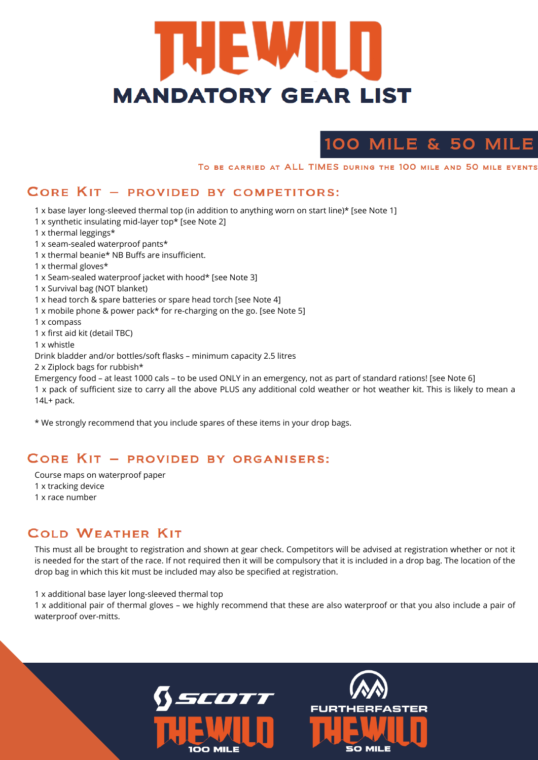# **THEMM MANDATORY GEAR LIST**

# 100 MILE & 50 MILE

TO BE CARRIED AT ALL TIMES DURING THE 100 MILE AND 50 MILE EVENTS

#### CORE KIT - PROVIDED BY COMPETITORS:

- 1 x base layer long-sleeved thermal top (in addition to anything worn on start line)\* [see Note 1]
- 1 x synthetic insulating mid-layer top\* [see Note 2]

1 x thermal leggings\*

- 1 x seam-sealed waterproof pants\*
- 1 x thermal beanie\* NB Buffs are insufficient.

1 x thermal gloves\*

- 1 x Seam-sealed waterproof jacket with hood\* [see Note 3]
- 1 x Survival bag (NOT blanket)
- 1 x head torch & spare batteries or spare head torch [see Note 4]
- 1 x mobile phone & power pack\* for re-charging on the go. [see Note 5]

1 x compass

1 x first aid kit (detail TBC)

1 x whistle

Drink bladder and/or bottles/soft flasks – minimum capacity 2.5 litres

2 x Ziplock bags for rubbish\*

Emergency food – at least 1000 cals – to be used ONLY in an emergency, not as part of standard rations! [see Note 6]

1 x pack of sufficient size to carry all the above PLUS any additional cold weather or hot weather kit. This is likely to mean a 14L+ pack.

\* We strongly recommend that you include spares of these items in your drop bags.

#### CORE KIT - PROVIDED BY ORGANISERS:

This must all be brought to registration and shown at gear check. Competitors will be advised at registration whether or not it is needed for the start of the race. If not required then it will be compulsory that it is included in a drop bag. The location of the drop bag in which this kit must be included may also be specified at registration.

1 x additional base layer long-sleeved thermal top

1 x additional pair of thermal gloves – we highly recommend that these are also waterproof or that you also include a pair of waterproof over-mitts.



Course maps on waterproof paper 1 x tracking device

1 x race number

#### **COLD WEATHER KIT**